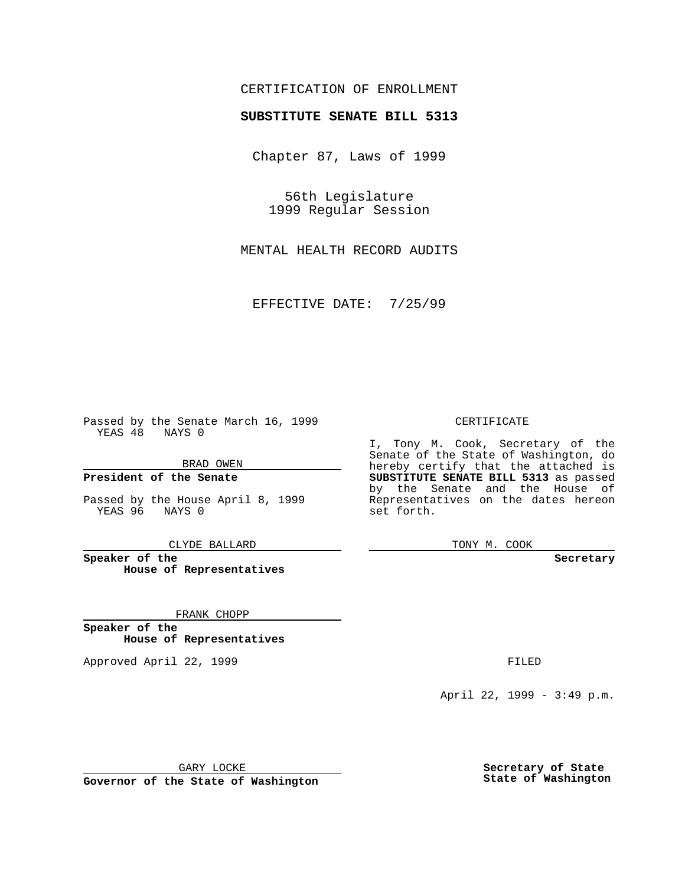## CERTIFICATION OF ENROLLMENT

# **SUBSTITUTE SENATE BILL 5313**

Chapter 87, Laws of 1999

56th Legislature 1999 Regular Session

MENTAL HEALTH RECORD AUDITS

EFFECTIVE DATE: 7/25/99

Passed by the Senate March 16, 1999 YEAS 48 NAYS 0

BRAD OWEN

**President of the Senate**

Passed by the House April 8, 1999 YEAS 96 NAYS 0

CLYDE BALLARD

**Speaker of the House of Representatives**

FRANK CHOPP

**Speaker of the House of Representatives**

Approved April 22, 1999 **FILED** 

### CERTIFICATE

I, Tony M. Cook, Secretary of the Senate of the State of Washington, do hereby certify that the attached is **SUBSTITUTE SENATE BILL 5313** as passed by the Senate and the House of Representatives on the dates hereon set forth.

TONY M. COOK

#### **Secretary**

April 22, 1999 - 3:49 p.m.

GARY LOCKE

**Governor of the State of Washington**

**Secretary of State State of Washington**